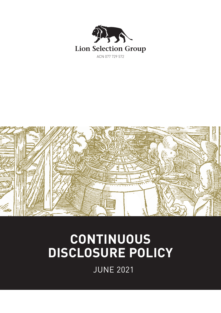



# **CONTINUOUS DISCLOSURE POLICY**

JUNE 2021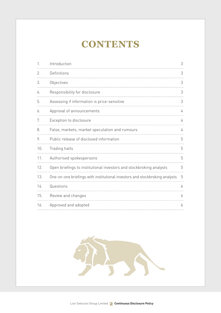# **CONTENTS**

| $\mathbf{1}$ . | Introduction                                                                | 3 |
|----------------|-----------------------------------------------------------------------------|---|
| 2.             | Definitions                                                                 | 3 |
| 3.             | Objectives                                                                  | 3 |
| 4.             | Responsibility for disclosure                                               | 3 |
| 5.             | Assessing if information is price-sensitive                                 | 3 |
| 6.             | Approval of announcements                                                   | 4 |
| 7.             | Exception to disclosure                                                     | 4 |
| 8.             | False, markets, market speculation and rumours                              | 4 |
| 9.             | Public release of disclosed information                                     | 5 |
| 10.            | Trading halts                                                               | 5 |
| 11.            | Authorised spokespersons                                                    | 5 |
| 12.            | Open briefings to institutional investors and stockbroking analysts         | 5 |
| 13.            | One-on-one briefings with institutional investors and stockbroking analysts | 5 |
| 14.            | Questions                                                                   | 6 |
| 15.            | Review and changes                                                          | 6 |
| 16.            | Approved and adopted                                                        | 6 |

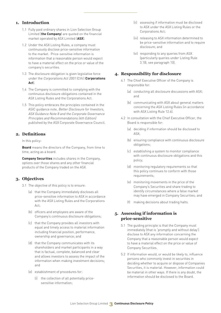#### **1. Introduction**

- 1.1 Fully paid ordinary shares in Lion Selection Group Limited (**the Company**) are quoted on the financial market operated by ASX Limited (**ASX**).
- 1.2 Under the ASX Listing Rules, a company must continuously disclose price-sensitive information to the market. Price-sensitive information is information that a reasonable person would expect to have a material effect on the price or value of the company's securities.
- 1.3 The disclosure obligation is given legislative force under the Corporations Act 2001 (Cth) (**Corporations Act**).
- 1.4 The Company is committed to complying with the continuous disclosure obligations contained in the ASX Listing Rules and the Corporations Act.
- 1.5 This policy embraces the principles contained in the ASIC guidance note, Better Disclosure for Investors, ASX Guidance Note 8 and the Corporate Governance Principles and Recommendations (4th Edition) published by the ASX Corporate Governance Council.

#### **2. Definitions**

In this policy:

**Board** means the directors of the Company, from time to time, acting as a board.

**Company Securities** includes shares in the Company, options over those shares and any other financial products of the Company traded on the ASX.

### **3. Objectives**

- 3.1 The objective of this policy is to ensure:
	- (a) that the Company immediately discloses all price-sensitive information to ASX in accordance with the ASX Listing Rules and the Corporations  $Act$
	- (b) officers and employees are aware of the Company's continuous disclosure obligations;
	- (c) that the Company provides all investors with equal and timely access to material information including financial position, performance, ownership and governance; and
	- (d) that the Company communicates with its shareholders and market participants in a way that is factual, complete, balanced and clear and allows investors to assess the impact of the information when making investment decisions; and
	- (e) establishment of procedures for:
		- (i) the collection of all potentially pricesensitive information;
- (ii) assessing if information must be disclosed to ASX under the ASX Listing Rules or the Corporations Act;
- (iii) releasing to ASX information determined to be price-sensitive information and to require disclosure; and
- (vi) responding to any queries from ASX (particularly queries under Listing Rule 3.1B, see paragraph 10).

#### **4. Responsibility for disclosure**

- 4.1 The Chief Executive Officer of the Company is responsible for:
	- (a) conducting all disclosure discussions with ASX; and
	- (b) communicating with ASX about general matters concerning the ASX Listing Rules (in accordance with ASX Listing Rule 12.6).
- 4.2 In consultation with the Chief Executive Officer, the Board is responsible for:
	- (a) deciding if information should be disclosed to ASX;
	- (b) ensuring compliance with continuous disclosure obligations;
	- (c) establishing a system to monitor compliance with continuous disclosure obligations and this policy;
	- (d) monitoring regulatory requirements so that this policy continues to conform with those requirements;
	- (e) monitoring movements in the price of the Company's Securities and share trading to identify circumstances where a false market may have emerged in Company Securities; and
	- (f) making decisions about trading halts.

### **5. Assessing if information is price-sensitive**

- 5.1 The guiding principle is that the Company must immediately (that is 'promptly and without delay') disclose to ASX any information concerning the Company that a reasonable person would expect to have a material effect on the price or value of Company Securities.
- 5.2 If information would, or would be likely to, influence persons who commonly invest in securities in deciding whether to acquire or dispose of Companies Securities, it is material. However, information could be material in other ways. If there is any doubt, the information should be disclosed to the Board.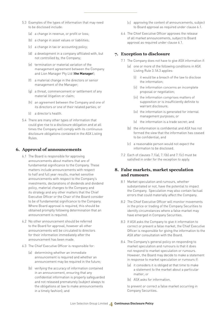- 5.3 Examples of the types of information that may need to be disclosed include:
	- (a) a change in revenue, or profit or loss;
	- (b) a change in asset values or liabilities;
	- (c) a change in tax or accounting policy;
	- (d) a development in a company affiliated with, but not controlled by, the Company;
	- (e) termination or material variation of the management agreement between the Company and Lion Manager Pty Ltd (**the Manager**);
	- (f) a material change in the directors or senior management of the Manager;
	- (g) a threat, commencement or settlement of any material litigation or claim;
	- (h) an agreement between the Company and one of its directors or one of their related parties; or
	- (i) a director's health.
- 5.4 There are many other types of information that could give rise to a disclosure obligation and at all times the Company will comply with its continuous disclosure obligations contained in the ASX Listing Rules.

#### **6. Approval of announcements**

- 6.1 The Board is responsible for approving announcements about matters that are of fundamental significance to the Company. These matters include announcements with respect to half and full year results, market sensitive announcements with respect to the Company's investments, declarations of dividends and dividend policy, material changes to the Company and its strategy and any other matters that the Chief Executive Officer or the Chair of the Board consider to be of fundamental significance to the Company. Where Board approval is required, this should be obtained promptly following determination that an announcement is required.
- 6.2 No other announcement should be referred to the Board for approval, however all other announcements will be circulated to directors for their information immediately after the announcement has been made.
- 6.3 The Chief Executive Officer is responsible for:
	- (a) determining whether an immediate announcement is required and whether an announcement may be required in the future;
	- (b) verifying the accuracy of information contained in an announcement, ensuring that any confidential information is properly safeguarded and not released prematurely (subject always to the obligations at law to make announcements in a timely fashion); and
- (c) approving the content of announcements, subject to Board approval as required under clause 6.1.
- 6.4 The Chief Executive Officer approves the release of all market announcements, subject to Board approval as required under clause 6.1.

#### **7. Exception to disclosure**

- 7.1 The Company does not have to give ASX information if:
	- (a) one or more of the following conditions in ASX Listing Rule 3.1A.3 applies:
		- (i) it would be a breach of the law to disclose the information;
		- (ii) the information concerns an incomplete proposal or negotiation;
		- (iii) the information comprises matters of supposition or is insufficiently definite to warrant disclosure;
		- (iv) the information is generated for internal management purposes; or
		- (v) the information is a trade secret; and
	- (b) the information is confidential and ASX has not formed the view that the information has ceased to be confidential; and
	- (c) a reasonable person would not expect the information to be disclosed.
- 7.2 Each of clauses 7.1(a), 7.1(b) and 7.1(c) must be satisfied in order for the exception to apply.

#### **8. False markets, market speculation and rumours**

- 8.1 Market speculation and rumours, whether substantiated or not, have the potential to impact the Company. Speculation may also contain factual errors that could materially affect the Company.
- 8.2 The Chief Executive Officer will monitor movements in the price or trading of the Company Securities to identify circumstances where a false market may have emerged in Company Securities.
- 8.3 If ASX asks the Company to give it information to correct or prevent a false market, the Chief Executive Officer is responsible for giving the information to the ASX after consultation with the Board.
- 8.4 The Company's general policy on responding to market speculation and rumours is that it does not respond to market speculation or rumours. However, the Board may decide to make a statement in response to market speculation or rumours if:
	- (a) it considers it is obliged at that time to make a statement to the market about a particular matter; or
	- (b) ASX asks for information,

to prevent or correct a false market occurring in Company Securities.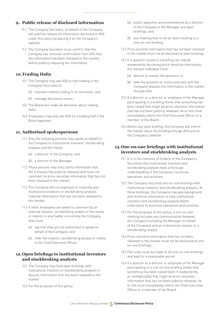#### **9. Public release of disclosed information**

- 9.1 The Company Secretary, on behalf of the Company, will publicly release all information disclosed to ASX under this policy by placing it on the Company's website.
- 9.2 The Company Secretary must confirm that the Company has received confirmation from ASX that the information has been released to the market, before publicly releasing the information.

#### **10. Trading Halts**

- 10.1 The Company may ask ASX to halt trading in the Company Securities to:
	- (a) maintain orderly trading in its securities; and
	- (b) manage disclosure issues.
- 10.2 The Board will make all decisions about trading halts.
- 10.3 Employees may only ask ASX for a trading half if the Board approves.

#### **11. Authorised spokespersons**

- 11.1 Only the following persons may speak on behalf of the Company to institutional investors, stockbroking analysts and the media:
	- (a) a director of the Company; and
	- (b) a director of the Manager.
- 11.2 Those persons may only clarify information that the Company has publicly released and must not comment on price-sensitive information that has not been released to the market.
- 11.3 The Company will not expressly or implicitly give institutional investors or stockbroking analysts material information that has not been released to the market.
- 11.4 If other employees are asked to comment by an external investor, stockbroking analyst or the media in relation to any matter concerning the Company they must:
	- (a) say that they are not authorised to speak on behalf of the Company; and
	- (b) refer the investor, stockbroking analyst or media to the Chief Executive Officer.

#### **12. Open briefings to institutional investors and stockbroking analysts**

- 12.1 The Company may hold open briefings with institutional investors or stockbroking analysts to discuss information that has been released to the market.
- 12.2 For the purposes of this policy:
- (a) public speeches and presentations by a director of the Company or the Manager are open briefings; and
- (b) any meeting that is not an open meeting is a one-on-one briefing.
- 12.3 Price sensitive information that has not been released to the market must not be disclosed at open briefings.
- 12.4 If a question raised in a briefing can only be answered by disclosing price-sensitive information, the relevant individual must:
	- (a) decline to answer the question; or
	- (b) take the question on notice and wait until the Company releases the information to the market through ASX.
- 12.5 If a director or a director or employee of the Manager participating in a briefing thinks that something has been raised that might be price-sensitive information that has not been publicly released, he or she must immediately inform the Chief Executive Officer or a member of the Board.
- 12.6 Before any open briefing, the Company will inform the market about the briefing through ASX and on the Company's website.

#### **13. One-on-one briefings with institutional investors and stockbroking analysts**

- 13.1 It is in the interests of holders of the Company's Securities that institutional investors and stockbroking analysts have a thorough understanding of the Company's business, operations and activities.
- 13.2 The Company may hold one-on-one briefings with institutional investors and stockbroking analysts. At these briefings, the Company may give background and technical information to help institutional investors and stockbroking analysts better understand its business operations and activities.
- 13.3 For the purposes of this policy, a one-on-one meeting includes any communication between the Company (including the Manager on behalf of the Company) and an institutional investor or a stockbroking analyst.
- 13.4 Price-sensitive information that has not been released to the market must not be disclosed at oneon-one briefings.
- 13.5 File notes must be made of all one-on-one briefings and kept for a reasonable period.
- 13.6 If a director or a director or employee of the Manager participating in a one-on-one briefing thinks that something has been raised (even if inadvertently or confidentially) that might be price-sensitive information that has not been publicly released, he or she must immediately inform the Chief Executive Officer or a member of the Board.